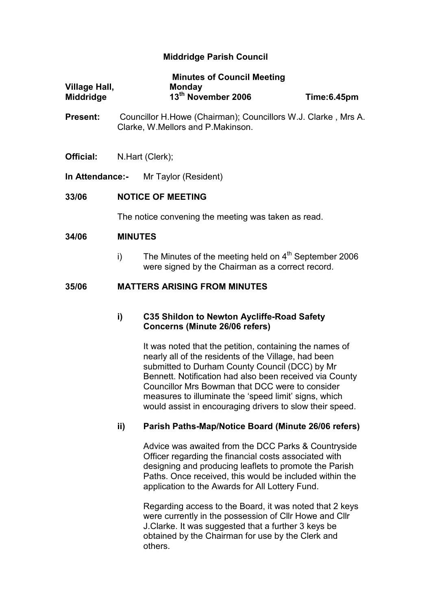# Middridge Parish Council

|                      | <b>Minutes of Council Meeting</b> |             |
|----------------------|-----------------------------------|-------------|
| <b>Village Hall,</b> | <b>Monday</b>                     |             |
| <b>Middridge</b>     | 13 <sup>th</sup> November 2006    | Time:6.45pm |

- **Present:** Councillor H.Howe (Chairman); Councillors W.J. Clarke, Mrs A. Clarke, W.Mellors and P.Makinson.
- Official: N.Hart (Clerk);

In Attendance:- Mr Taylor (Resident)

### 33/06 NOTICE OF MEETING

The notice convening the meeting was taken as read.

#### 34/06 MINUTES

i) The Minutes of the meeting held on  $4<sup>th</sup>$  September 2006 were signed by the Chairman as a correct record.

### 35/06 MATTERS ARISING FROM MINUTES

# i) C35 Shildon to Newton Aycliffe-Road Safety Concerns (Minute 26/06 refers)

It was noted that the petition, containing the names of nearly all of the residents of the Village, had been submitted to Durham County Council (DCC) by Mr Bennett. Notification had also been received via County Councillor Mrs Bowman that DCC were to consider measures to illuminate the 'speed limit' signs, which would assist in encouraging drivers to slow their speed.

### ii) Parish Paths-Map/Notice Board (Minute 26/06 refers)

 Advice was awaited from the DCC Parks & Countryside Officer regarding the financial costs associated with designing and producing leaflets to promote the Parish Paths. Once received, this would be included within the application to the Awards for All Lottery Fund.

 Regarding access to the Board, it was noted that 2 keys were currently in the possession of Cllr Howe and Cllr J.Clarke. It was suggested that a further 3 keys be obtained by the Chairman for use by the Clerk and others.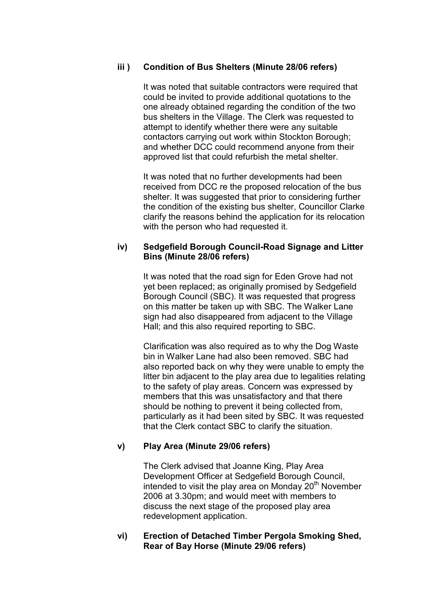# iii ) Condition of Bus Shelters (Minute 28/06 refers)

It was noted that suitable contractors were required that could be invited to provide additional quotations to the one already obtained regarding the condition of the two bus shelters in the Village. The Clerk was requested to attempt to identify whether there were any suitable contactors carrying out work within Stockton Borough; and whether DCC could recommend anyone from their approved list that could refurbish the metal shelter.

It was noted that no further developments had been received from DCC re the proposed relocation of the bus shelter. It was suggested that prior to considering further the condition of the existing bus shelter, Councillor Clarke clarify the reasons behind the application for its relocation with the person who had requested it.

# iv) Sedgefield Borough Council-Road Signage and Litter Bins (Minute 28/06 refers)

It was noted that the road sign for Eden Grove had not yet been replaced; as originally promised by Sedgefield Borough Council (SBC). It was requested that progress on this matter be taken up with SBC. The Walker Lane sign had also disappeared from adjacent to the Village Hall; and this also required reporting to SBC.

Clarification was also required as to why the Dog Waste bin in Walker Lane had also been removed. SBC had also reported back on why they were unable to empty the litter bin adjacent to the play area due to legalities relating to the safety of play areas. Concern was expressed by members that this was unsatisfactory and that there should be nothing to prevent it being collected from, particularly as it had been sited by SBC. It was requested that the Clerk contact SBC to clarify the situation.

# v) Play Area (Minute 29/06 refers)

 The Clerk advised that Joanne King, Play Area Development Officer at Sedgefield Borough Council, intended to visit the play area on Monday 20<sup>th</sup> November 2006 at 3.30pm; and would meet with members to discuss the next stage of the proposed play area redevelopment application.

# vi) Erection of Detached Timber Pergola Smoking Shed, Rear of Bay Horse (Minute 29/06 refers)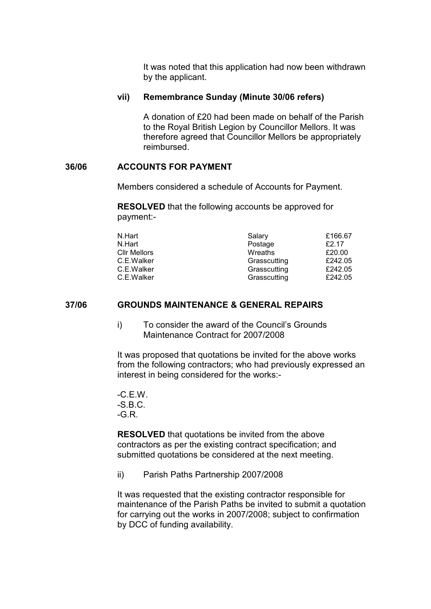It was noted that this application had now been withdrawn by the applicant.

#### vii) Remembrance Sunday (Minute 30/06 refers)

A donation of £20 had been made on behalf of the Parish to the Royal British Legion by Councillor Mellors. It was therefore agreed that Councillor Mellors be appropriately reimbursed.

## 36/06 ACCOUNTS FOR PAYMENT

Members considered a schedule of Accounts for Payment.

RESOLVED that the following accounts be approved for payment:-

| N.Hart              | Salary       | £166.67 |
|---------------------|--------------|---------|
| N.Hart              | Postage      | £2.17   |
| <b>CIIr Mellors</b> | Wreaths      | £20.00  |
| C.E.Walker          | Grasscutting | £242.05 |
| C.E.Walker          | Grasscutting | £242.05 |
| C.E.Walker          | Grasscutting | £242.05 |

## 37/06 GROUNDS MAINTENANCE & GENERAL REPAIRS

i) To consider the award of the Council's Grounds Maintenance Contract for 2007/2008

It was proposed that quotations be invited for the above works from the following contractors; who had previously expressed an interest in being considered for the works:-

 $-C$ . F. W. -S.B.C. -G.R.

RESOLVED that quotations be invited from the above contractors as per the existing contract specification; and submitted quotations be considered at the next meeting.

ii) Parish Paths Partnership 2007/2008

 It was requested that the existing contractor responsible for maintenance of the Parish Paths be invited to submit a quotation for carrying out the works in 2007/2008; subject to confirmation by DCC of funding availability.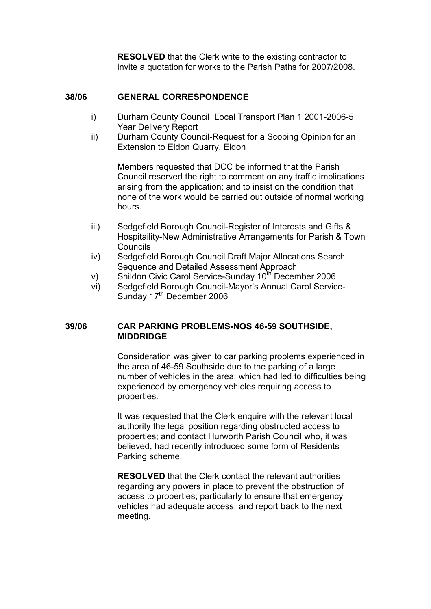RESOLVED that the Clerk write to the existing contractor to invite a quotation for works to the Parish Paths for 2007/2008.

# 38/06 GENERAL CORRESPONDENCE

- i) Durham County Council Local Transport Plan 1 2001-2006-5 Year Delivery Report
- ii) Durham County Council-Request for a Scoping Opinion for an Extension to Eldon Quarry, Eldon

Members requested that DCC be informed that the Parish Council reserved the right to comment on any traffic implications arising from the application; and to insist on the condition that none of the work would be carried out outside of normal working hours.

- iii) Sedgefield Borough Council-Register of Interests and Gifts & Hospitaility-New Administrative Arrangements for Parish & Town Councils
- iv) Sedgefield Borough Council Draft Major Allocations Search Sequence and Detailed Assessment Approach
- v) Shildon Civic Carol Service-Sunday 10<sup>th</sup> December 2006
- vi) Sedgefield Borough Council-Mayor's Annual Carol Service-Sunday 17<sup>th</sup> December 2006

## 39/06 CAR PARKING PROBLEMS-NOS 46-59 SOUTHSIDE, MIDDRIDGE

Consideration was given to car parking problems experienced in the area of 46-59 Southside due to the parking of a large number of vehicles in the area; which had led to difficulties being experienced by emergency vehicles requiring access to properties.

 It was requested that the Clerk enquire with the relevant local authority the legal position regarding obstructed access to properties; and contact Hurworth Parish Council who, it was believed, had recently introduced some form of Residents Parking scheme.

RESOLVED that the Clerk contact the relevant authorities regarding any powers in place to prevent the obstruction of access to properties; particularly to ensure that emergency vehicles had adequate access, and report back to the next meeting.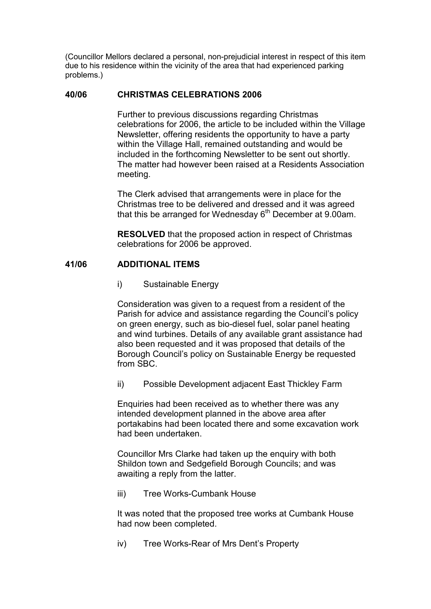(Councillor Mellors declared a personal, non-prejudicial interest in respect of this item due to his residence within the vicinity of the area that had experienced parking problems.)

## 40/06 CHRISTMAS CELEBRATIONS 2006

Further to previous discussions regarding Christmas celebrations for 2006, the article to be included within the Village Newsletter, offering residents the opportunity to have a party within the Village Hall, remained outstanding and would be included in the forthcoming Newsletter to be sent out shortly. The matter had however been raised at a Residents Association meeting.

 The Clerk advised that arrangements were in place for the Christmas tree to be delivered and dressed and it was agreed that this be arranged for Wednesday  $6<sup>th</sup>$  December at 9.00am.

RESOLVED that the proposed action in respect of Christmas celebrations for 2006 be approved.

# 41/06 ADDITIONAL ITEMS

i) Sustainable Energy

Consideration was given to a request from a resident of the Parish for advice and assistance regarding the Council's policy on green energy, such as bio-diesel fuel, solar panel heating and wind turbines. Details of any available grant assistance had also been requested and it was proposed that details of the Borough Council's policy on Sustainable Energy be requested from SBC.

ii) Possible Development adjacent East Thickley Farm

Enquiries had been received as to whether there was any intended development planned in the above area after portakabins had been located there and some excavation work had been undertaken.

Councillor Mrs Clarke had taken up the enquiry with both Shildon town and Sedgefield Borough Councils; and was awaiting a reply from the latter.

iii) Tree Works-Cumbank House

It was noted that the proposed tree works at Cumbank House had now been completed.

iv) Tree Works-Rear of Mrs Dent's Property